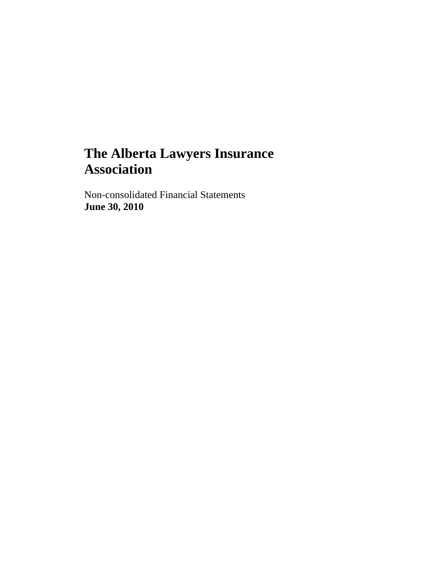Non-consolidated Financial Statements **June 30, 2010**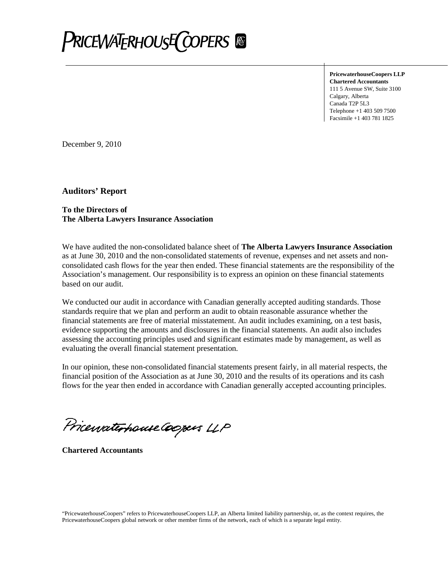

**PricewaterhouseCoopers LLP Chartered Accountants** 111 5 Avenue SW, Suite 3100 Calgary, Alberta Canada T2P 5L3 Telephone +1 403 509 7500 Facsimile +1 403 781 1825

December 9, 2010

**Auditors' Report**

#### **To the Directors of The Alberta Lawyers Insurance Association**

We have audited the non-consolidated balance sheet of **The Alberta Lawyers Insurance Association** as at June 30, 2010 and the non-consolidated statements of revenue, expenses and net assets and nonconsolidated cash flows for the year then ended. These financial statements are the responsibility of the Association's management. Our responsibility is to express an opinion on these financial statements based on our audit.

We conducted our audit in accordance with Canadian generally accepted auditing standards. Those standards require that we plan and perform an audit to obtain reasonable assurance whether the financial statements are free of material misstatement. An audit includes examining, on a test basis, evidence supporting the amounts and disclosures in the financial statements. An audit also includes assessing the accounting principles used and significant estimates made by management, as well as evaluating the overall financial statement presentation.

In our opinion, these non-consolidated financial statements present fairly, in all material respects, the financial position of the Association as at June 30, 2010 and the results of its operations and its cash flows for the year then ended in accordance with Canadian generally accepted accounting principles.

Pricewaterhouse Coopers LLP

**Chartered Accountants**

"PricewaterhouseCoopers" refers to PricewaterhouseCoopers LLP, an Alberta limited liability partnership, or, as the context requires, the PricewaterhouseCoopers global network or other member firms of the network, each of which is a separate legal entity.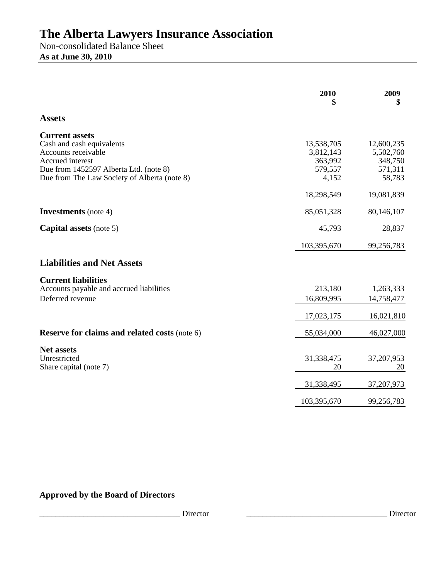Non-consolidated Balance Sheet **As at June 30, 2010** 

|                                                                                                                                                                                         | 2010                                                   | 2009<br>\$                                              |
|-----------------------------------------------------------------------------------------------------------------------------------------------------------------------------------------|--------------------------------------------------------|---------------------------------------------------------|
| <b>Assets</b>                                                                                                                                                                           |                                                        |                                                         |
| <b>Current assets</b><br>Cash and cash equivalents<br>Accounts receivable<br>Accrued interest<br>Due from 1452597 Alberta Ltd. (note 8)<br>Due from The Law Society of Alberta (note 8) | 13,538,705<br>3,812,143<br>363,992<br>579,557<br>4,152 | 12,600,235<br>5,502,760<br>348,750<br>571,311<br>58,783 |
|                                                                                                                                                                                         | 18,298,549                                             | 19,081,839                                              |
| <b>Investments</b> (note 4)                                                                                                                                                             | 85,051,328                                             | 80,146,107                                              |
| <b>Capital assets</b> (note 5)                                                                                                                                                          | 45,793                                                 | 28,837                                                  |
|                                                                                                                                                                                         | 103,395,670                                            | 99,256,783                                              |
| <b>Liabilities and Net Assets</b>                                                                                                                                                       |                                                        |                                                         |
| <b>Current liabilities</b><br>Accounts payable and accrued liabilities<br>Deferred revenue                                                                                              | 213,180<br>16,809,995                                  | 1,263,333<br>14,758,477                                 |
|                                                                                                                                                                                         | 17,023,175                                             | 16,021,810                                              |
| <b>Reserve for claims and related costs (note 6)</b>                                                                                                                                    | 55,034,000                                             | 46,027,000                                              |
| <b>Net assets</b><br>Unrestricted<br>Share capital (note 7)                                                                                                                             | 31,338,475<br>20                                       | 37, 207, 953<br>20                                      |
|                                                                                                                                                                                         | 31,338,495                                             | 37, 207, 973                                            |
|                                                                                                                                                                                         | 103,395,670                                            | 99,256,783                                              |

### **Approved by the Board of Directors**

\_\_\_\_\_\_\_\_\_\_\_\_\_\_\_\_\_\_\_\_\_\_\_\_\_\_\_\_\_\_\_\_\_\_\_ Director \_\_\_\_\_\_\_\_\_\_\_\_\_\_\_\_\_\_\_\_\_\_\_\_\_\_\_\_\_\_\_\_\_\_\_ Director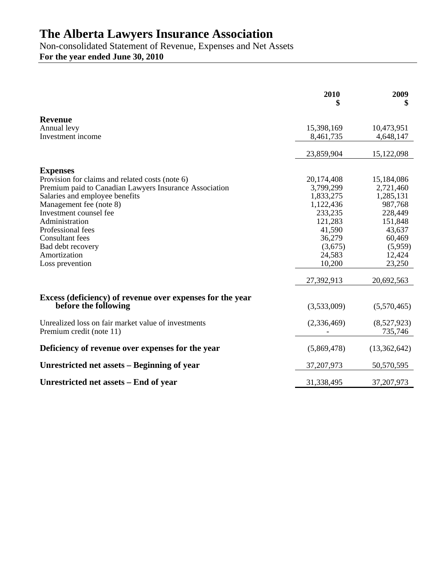Non-consolidated Statement of Revenue, Expenses and Net Assets **For the year ended June 30, 2010** 

|                                                           | 2010<br>\$  | 2009<br>\$   |
|-----------------------------------------------------------|-------------|--------------|
| <b>Revenue</b>                                            |             |              |
| Annual levy                                               | 15,398,169  | 10,473,951   |
| Investment income                                         | 8,461,735   | 4,648,147    |
|                                                           | 23,859,904  | 15,122,098   |
| <b>Expenses</b>                                           |             |              |
| Provision for claims and related costs (note 6)           | 20,174,408  | 15,184,086   |
| Premium paid to Canadian Lawyers Insurance Association    | 3,799,299   | 2,721,460    |
| Salaries and employee benefits                            | 1,833,275   | 1,285,131    |
| Management fee (note 8)                                   | 1,122,436   | 987,768      |
| Investment counsel fee                                    | 233,235     | 228,449      |
| Administration                                            | 121,283     | 151,848      |
| Professional fees                                         | 41,590      | 43,637       |
| <b>Consultant</b> fees                                    | 36,279      | 60,469       |
| Bad debt recovery                                         | (3,675)     | (5,959)      |
| Amortization                                              | 24,583      | 12,424       |
| Loss prevention                                           | 10,200      | 23,250       |
|                                                           | 27,392,913  | 20,692,563   |
| Excess (deficiency) of revenue over expenses for the year |             |              |
| before the following                                      | (3,533,009) | (5,570,465)  |
| Unrealized loss on fair market value of investments       | (2,336,469) | (8,527,923)  |
| Premium credit (note 11)                                  |             | 735,746      |
| Deficiency of revenue over expenses for the year          | (5,869,478) | (13,362,642) |
| Unrestricted net assets – Beginning of year               | 37,207,973  | 50,570,595   |
| Unrestricted net assets – End of year                     | 31,338,495  | 37, 207, 973 |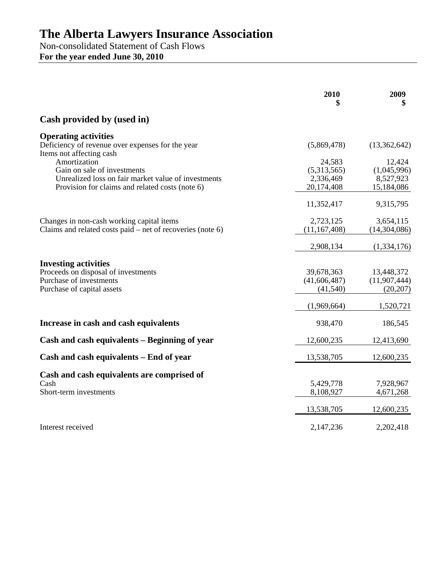Non-consolidated Statement of Cash Flows **For the year ended June 30, 2010** 

|                                                                                                                             | 2010                                     | 2009<br>\$                                |
|-----------------------------------------------------------------------------------------------------------------------------|------------------------------------------|-------------------------------------------|
| Cash provided by (used in)                                                                                                  |                                          |                                           |
| <b>Operating activities</b><br>Deficiency of revenue over expenses for the year<br>Items not affecting cash                 | (5,869,478)                              | (13,362,642)                              |
| Amortization<br>Gain on sale of investments<br>Unrealized loss on fair market value of investments                          | 24,583<br>(5,313,565)<br>2,336,469       | 12,424<br>(1,045,996)<br>8,527,923        |
| Provision for claims and related costs (note 6)                                                                             | 20,174,408                               | 15,184,086                                |
|                                                                                                                             | 11,352,417                               | 9,315,795                                 |
| Changes in non-cash working capital items<br>Claims and related costs paid $-$ net of recoveries (note 6)                   | 2,723,125<br>(11, 167, 408)              | 3,654,115<br>(14,304,086)                 |
|                                                                                                                             | 2,908,134                                | (1,334,176)                               |
| <b>Investing activities</b><br>Proceeds on disposal of investments<br>Purchase of investments<br>Purchase of capital assets | 39,678,363<br>(41, 606, 487)<br>(41,540) | 13,448,372<br>(11, 907, 444)<br>(20, 207) |
|                                                                                                                             | (1,969,664)                              | 1,520,721                                 |
| Increase in cash and cash equivalents                                                                                       | 938,470                                  | 186,545                                   |
| Cash and cash equivalents – Beginning of year                                                                               | 12,600,235                               | 12,413,690                                |
| Cash and cash equivalents – End of year                                                                                     | 13,538,705                               | 12,600,235                                |
| Cash and cash equivalents are comprised of<br>Cash<br>Short-term investments                                                | 5,429,778<br>8,108,927                   | 7,928,967<br>4,671,268                    |
|                                                                                                                             | 13,538,705                               | 12,600,235                                |
| Interest received                                                                                                           | 2,147,236                                | 2,202,418                                 |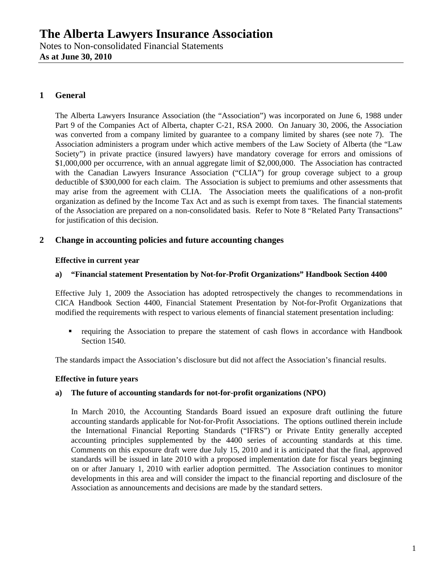### **1 General**

The Alberta Lawyers Insurance Association (the "Association") was incorporated on June 6, 1988 under Part 9 of the Companies Act of Alberta, chapter C-21, RSA 2000. On January 30, 2006, the Association was converted from a company limited by guarantee to a company limited by shares (see note 7). The Association administers a program under which active members of the Law Society of Alberta (the "Law Society") in private practice (insured lawyers) have mandatory coverage for errors and omissions of \$1,000,000 per occurrence, with an annual aggregate limit of \$2,000,000. The Association has contracted with the Canadian Lawyers Insurance Association ("CLIA") for group coverage subject to a group deductible of \$300,000 for each claim. The Association is subject to premiums and other assessments that may arise from the agreement with CLIA. The Association meets the qualifications of a non-profit organization as defined by the Income Tax Act and as such is exempt from taxes. The financial statements of the Association are prepared on a non-consolidated basis. Refer to Note 8 "Related Party Transactions" for justification of this decision.

#### **2 Change in accounting policies and future accounting changes**

#### **Effective in current year**

#### **a) "Financial statement Presentation by Not-for-Profit Organizations" Handbook Section 4400**

Effective July 1, 2009 the Association has adopted retrospectively the changes to recommendations in CICA Handbook Section 4400, Financial Statement Presentation by Not-for-Profit Organizations that modified the requirements with respect to various elements of financial statement presentation including:

 requiring the Association to prepare the statement of cash flows in accordance with Handbook Section 1540.

The standards impact the Association's disclosure but did not affect the Association's financial results.

#### **Effective in future years**

#### **a) The future of accounting standards for not-for-profit organizations (NPO)**

In March 2010, the Accounting Standards Board issued an exposure draft outlining the future accounting standards applicable for Not-for-Profit Associations. The options outlined therein include the International Financial Reporting Standards ("IFRS") or Private Entity generally accepted accounting principles supplemented by the 4400 series of accounting standards at this time. Comments on this exposure draft were due July 15, 2010 and it is anticipated that the final, approved standards will be issued in late 2010 with a proposed implementation date for fiscal years beginning on or after January 1, 2010 with earlier adoption permitted. The Association continues to monitor developments in this area and will consider the impact to the financial reporting and disclosure of the Association as announcements and decisions are made by the standard setters.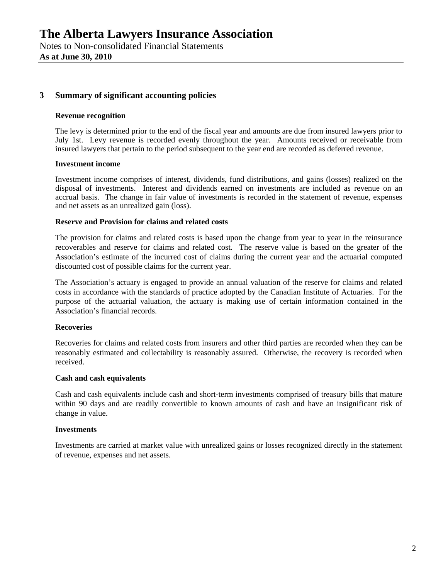**As at June 30, 2010** 

#### **3 Summary of significant accounting policies**

#### **Revenue recognition**

The levy is determined prior to the end of the fiscal year and amounts are due from insured lawyers prior to July 1st. Levy revenue is recorded evenly throughout the year. Amounts received or receivable from insured lawyers that pertain to the period subsequent to the year end are recorded as deferred revenue.

#### **Investment income**

Investment income comprises of interest, dividends, fund distributions, and gains (losses) realized on the disposal of investments. Interest and dividends earned on investments are included as revenue on an accrual basis. The change in fair value of investments is recorded in the statement of revenue, expenses and net assets as an unrealized gain (loss).

#### **Reserve and Provision for claims and related costs**

The provision for claims and related costs is based upon the change from year to year in the reinsurance recoverables and reserve for claims and related cost. The reserve value is based on the greater of the Association's estimate of the incurred cost of claims during the current year and the actuarial computed discounted cost of possible claims for the current year.

The Association's actuary is engaged to provide an annual valuation of the reserve for claims and related costs in accordance with the standards of practice adopted by the Canadian Institute of Actuaries. For the purpose of the actuarial valuation, the actuary is making use of certain information contained in the Association's financial records.

#### **Recoveries**

Recoveries for claims and related costs from insurers and other third parties are recorded when they can be reasonably estimated and collectability is reasonably assured. Otherwise, the recovery is recorded when received.

#### **Cash and cash equivalents**

Cash and cash equivalents include cash and short-term investments comprised of treasury bills that mature within 90 days and are readily convertible to known amounts of cash and have an insignificant risk of change in value.

#### **Investments**

Investments are carried at market value with unrealized gains or losses recognized directly in the statement of revenue, expenses and net assets.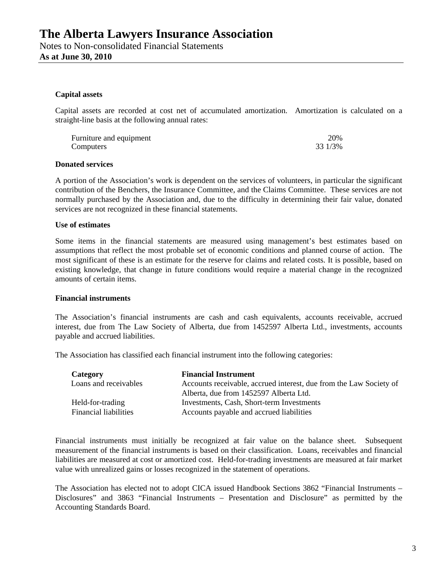#### **Capital assets**

Capital assets are recorded at cost net of accumulated amortization. Amortization is calculated on a straight-line basis at the following annual rates:

| Furniture and equipment | 20%     |
|-------------------------|---------|
| Computers               | 33 1/3% |

#### **Donated services**

A portion of the Association's work is dependent on the services of volunteers, in particular the significant contribution of the Benchers, the Insurance Committee, and the Claims Committee. These services are not normally purchased by the Association and, due to the difficulty in determining their fair value, donated services are not recognized in these financial statements.

#### **Use of estimates**

Some items in the financial statements are measured using management's best estimates based on assumptions that reflect the most probable set of economic conditions and planned course of action. The most significant of these is an estimate for the reserve for claims and related costs. It is possible, based on existing knowledge, that change in future conditions would require a material change in the recognized amounts of certain items.

#### **Financial instruments**

The Association's financial instruments are cash and cash equivalents, accounts receivable, accrued interest, due from The Law Society of Alberta, due from 1452597 Alberta Ltd., investments, accounts payable and accrued liabilities.

The Association has classified each financial instrument into the following categories:

| Category                     | <b>Financial Instrument</b>                                        |
|------------------------------|--------------------------------------------------------------------|
| Loans and receivables        | Accounts receivable, accrued interest, due from the Law Society of |
|                              | Alberta, due from 1452597 Alberta Ltd.                             |
| Held-for-trading             | Investments, Cash, Short-term Investments                          |
| <b>Financial liabilities</b> | Accounts payable and accrued liabilities                           |

Financial instruments must initially be recognized at fair value on the balance sheet. Subsequent measurement of the financial instruments is based on their classification. Loans, receivables and financial liabilities are measured at cost or amortized cost. Held-for-trading investments are measured at fair market value with unrealized gains or losses recognized in the statement of operations.

The Association has elected not to adopt CICA issued Handbook Sections 3862 "Financial Instruments – Disclosures" and 3863 "Financial Instruments – Presentation and Disclosure" as permitted by the Accounting Standards Board.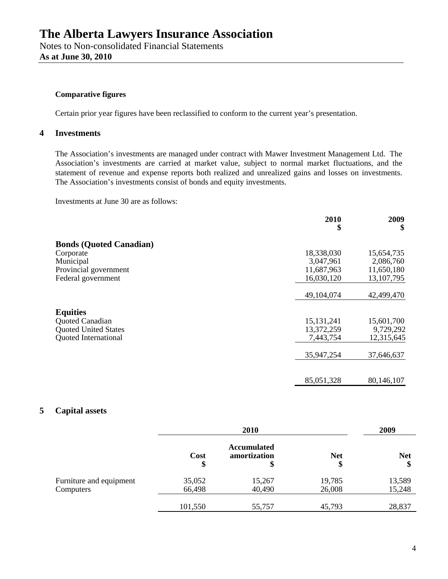#### **Comparative figures**

Certain prior year figures have been reclassified to conform to the current year's presentation.

### **4 Investments**

The Association's investments are managed under contract with Mawer Investment Management Ltd. The Association's investments are carried at market value, subject to normal market fluctuations, and the statement of revenue and expense reports both realized and unrealized gains and losses on investments. The Association's investments consist of bonds and equity investments.

Investments at June 30 are as follows:

|                                | 2010<br>\$   | 2009<br>\$ |
|--------------------------------|--------------|------------|
| <b>Bonds (Quoted Canadian)</b> |              |            |
| Corporate                      | 18,338,030   | 15,654,735 |
| Municipal                      | 3,047,961    | 2,086,760  |
| Provincial government          | 11,687,963   | 11,650,180 |
| Federal government             | 16,030,120   | 13,107,795 |
|                                | 49,104,074   | 42,499,470 |
| <b>Equities</b>                |              |            |
| Quoted Canadian                | 15, 131, 241 | 15,601,700 |
| <b>Quoted United States</b>    | 13,372,259   | 9,729,292  |
| <b>Quoted International</b>    | 7,443,754    | 12,315,645 |
|                                | 35,947,254   | 37,646,637 |
|                                |              |            |
|                                | 85,051,328   | 80,146,107 |

#### **5 Capital assets**

|                                      | 2010             |                                          |                  | 2009             |  |
|--------------------------------------|------------------|------------------------------------------|------------------|------------------|--|
|                                      | Cost<br>\$       | <b>Accumulated</b><br>amortization<br>\$ | <b>Net</b><br>\$ | <b>Net</b><br>\$ |  |
| Furniture and equipment<br>Computers | 35,052<br>66,498 | 15,267<br>40,490                         | 19,785<br>26,008 | 13,589<br>15,248 |  |
|                                      | 101,550          | 55,757                                   | 45,793           | 28,837           |  |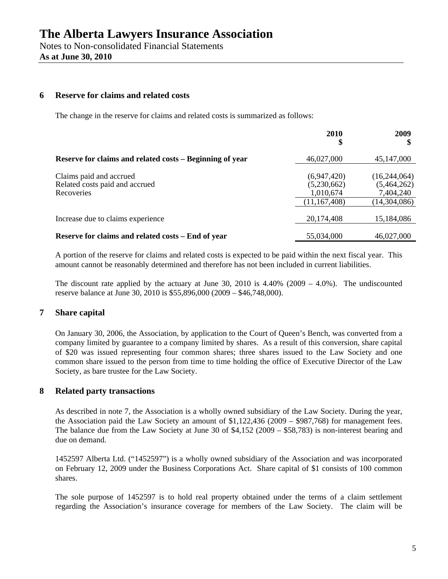**As at June 30, 2010** 

#### **6 Reserve for claims and related costs**

The change in the reserve for claims and related costs is summarized as follows:

|                                                                         | <b>2010</b><br>\$                                         | 2009                                                     |
|-------------------------------------------------------------------------|-----------------------------------------------------------|----------------------------------------------------------|
| Reserve for claims and related costs – Beginning of year                | 46,027,000                                                | 45,147,000                                               |
| Claims paid and accrued<br>Related costs paid and accrued<br>Recoveries | (6,947,420)<br>(5,230,662)<br>1,010,674<br>(11, 167, 408) | (16,244,064)<br>(5,464,262)<br>7,404,240<br>(14,304,086) |
| Increase due to claims experience                                       | 20,174,408                                                | 15,184,086                                               |
| Reserve for claims and related costs – End of year                      | 55,034,000                                                | 46,027,000                                               |

A portion of the reserve for claims and related costs is expected to be paid within the next fiscal year. This amount cannot be reasonably determined and therefore has not been included in current liabilities.

The discount rate applied by the actuary at June 30, 2010 is  $4.40\%$  (2009 – 4.0%). The undiscounted reserve balance at June 30, 2010 is \$55,896,000 (2009 – \$46,748,000).

#### **7 Share capital**

On January 30, 2006, the Association, by application to the Court of Queen's Bench, was converted from a company limited by guarantee to a company limited by shares. As a result of this conversion, share capital of \$20 was issued representing four common shares; three shares issued to the Law Society and one common share issued to the person from time to time holding the office of Executive Director of the Law Society, as bare trustee for the Law Society.

#### **8 Related party transactions**

As described in note 7, the Association is a wholly owned subsidiary of the Law Society. During the year, the Association paid the Law Society an amount of \$1,122,436 (2009 – \$987,768) for management fees. The balance due from the Law Society at June 30 of \$4,152 (2009 – \$58,783) is non-interest bearing and due on demand.

1452597 Alberta Ltd. ("1452597") is a wholly owned subsidiary of the Association and was incorporated on February 12, 2009 under the Business Corporations Act. Share capital of \$1 consists of 100 common shares.

The sole purpose of 1452597 is to hold real property obtained under the terms of a claim settlement regarding the Association's insurance coverage for members of the Law Society. The claim will be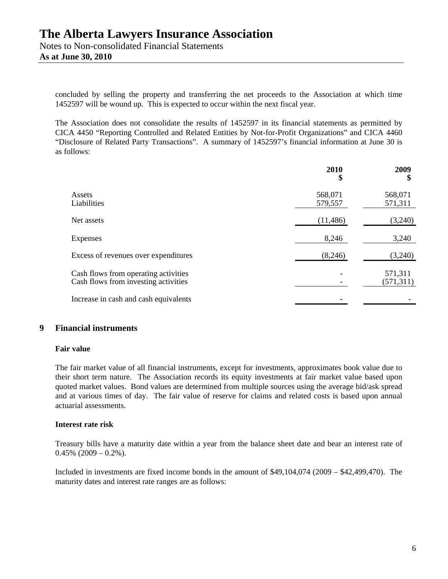concluded by selling the property and transferring the net proceeds to the Association at which time 1452597 will be wound up. This is expected to occur within the next fiscal year.

The Association does not consolidate the results of 1452597 in its financial statements as permitted by CICA 4450 "Reporting Controlled and Related Entities by Not-for-Profit Organizations" and CICA 4460 "Disclosure of Related Party Transactions". A summary of 1452597's financial information at June 30 is as follows:

|                                                                              | 2010<br>\$         | 2009<br>\$            |
|------------------------------------------------------------------------------|--------------------|-----------------------|
| Assets<br>Liabilities                                                        | 568,071<br>579,557 | 568,071<br>571,311    |
| Net assets                                                                   | (11, 486)          | (3,240)               |
| Expenses                                                                     | 8,246              | 3,240                 |
| Excess of revenues over expenditures                                         | (8,246)            | (3,240)               |
| Cash flows from operating activities<br>Cash flows from investing activities |                    | 571,311<br>(571, 311) |
| Increase in cash and cash equivalents                                        |                    |                       |

#### **9 Financial instruments**

#### **Fair value**

The fair market value of all financial instruments, except for investments, approximates book value due to their short term nature. The Association records its equity investments at fair market value based upon quoted market values. Bond values are determined from multiple sources using the average bid/ask spread and at various times of day. The fair value of reserve for claims and related costs is based upon annual actuarial assessments.

#### **Interest rate risk**

Treasury bills have a maturity date within a year from the balance sheet date and bear an interest rate of  $0.45\%$  (2009 – 0.2%).

Included in investments are fixed income bonds in the amount of \$49,104,074 (2009 – \$42,499,470). The maturity dates and interest rate ranges are as follows: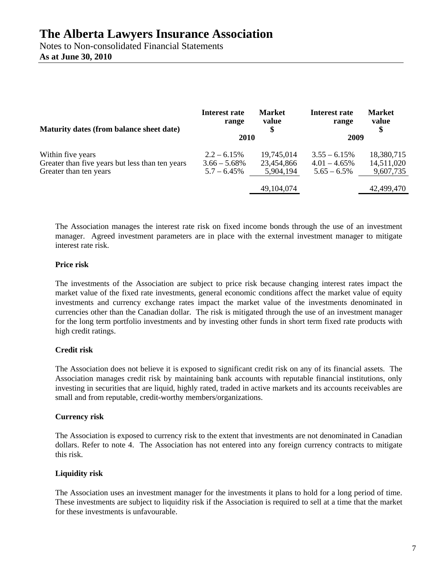Notes to Non-consolidated Financial Statements **As at June 30, 2010** 

| Maturity dates (from balance sheet date)        | Interest rate<br>range | <b>Market</b><br>value<br>\$ | Interest rate<br>range | <b>Market</b><br>value<br>\$ |
|-------------------------------------------------|------------------------|------------------------------|------------------------|------------------------------|
|                                                 | 2010                   |                              | 2009                   |                              |
| Within five years                               | $2.2 - 6.15\%$         | 19,745,014                   | $3.55 - 6.15\%$        | 18,380,715                   |
| Greater than five years but less than ten years | $3.66 - 5.68\%$        | 23,454,866                   | $4.01 - 4.65\%$        | 14,511,020                   |
| Greater than ten years                          | $5.7 - 6.45\%$         | 5,904,194                    | $5.65 - 6.5\%$         | 9,607,735                    |
|                                                 |                        | 49,104,074                   |                        | 42,499,470                   |

The Association manages the interest rate risk on fixed income bonds through the use of an investment manager. Agreed investment parameters are in place with the external investment manager to mitigate interest rate risk.

#### **Price risk**

The investments of the Association are subject to price risk because changing interest rates impact the market value of the fixed rate investments, general economic conditions affect the market value of equity investments and currency exchange rates impact the market value of the investments denominated in currencies other than the Canadian dollar. The risk is mitigated through the use of an investment manager for the long term portfolio investments and by investing other funds in short term fixed rate products with high credit ratings.

#### **Credit risk**

The Association does not believe it is exposed to significant credit risk on any of its financial assets. The Association manages credit risk by maintaining bank accounts with reputable financial institutions, only investing in securities that are liquid, highly rated, traded in active markets and its accounts receivables are small and from reputable, credit-worthy members/organizations.

#### **Currency risk**

The Association is exposed to currency risk to the extent that investments are not denominated in Canadian dollars. Refer to note 4. The Association has not entered into any foreign currency contracts to mitigate this risk.

#### **Liquidity risk**

The Association uses an investment manager for the investments it plans to hold for a long period of time. These investments are subject to liquidity risk if the Association is required to sell at a time that the market for these investments is unfavourable.